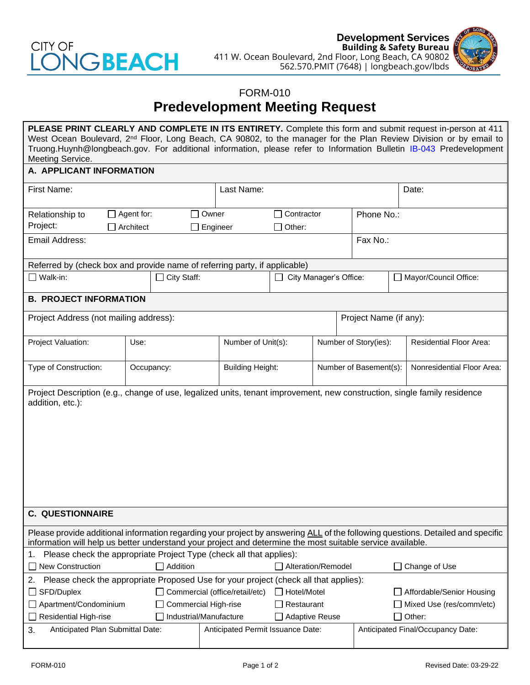

**Development Services Building & Safety Bureau** 411 W. Ocean Boulevard, 2nd Floor, Long Beach, CA 90802 562.570.PMIT (7648) | longbeach.gov/lbds



## FORM-010 **Predevelopment Meeting Request**

| PLEASE PRINT CLEARLY AND COMPLETE IN ITS ENTIRETY. Complete this form and submit request in-person at 411<br>West Ocean Boulevard, 2 <sup>nd</sup> Floor, Long Beach, CA 90802, to the manager for the Plan Review Division or by email to<br>Truong.Huynh@longbeach.gov. For additional information, please refer to Information Bulletin IB-043 Predevelopment<br>Meeting Service. |                                                        |                 |       |                                                 |                    |                        |                                    |                                   |                                |  |
|--------------------------------------------------------------------------------------------------------------------------------------------------------------------------------------------------------------------------------------------------------------------------------------------------------------------------------------------------------------------------------------|--------------------------------------------------------|-----------------|-------|-------------------------------------------------|--------------------|------------------------|------------------------------------|-----------------------------------|--------------------------------|--|
| A. APPLICANT INFORMATION                                                                                                                                                                                                                                                                                                                                                             |                                                        |                 |       |                                                 |                    |                        |                                    |                                   |                                |  |
| First Name:                                                                                                                                                                                                                                                                                                                                                                          |                                                        |                 |       | Last Name:                                      |                    |                        |                                    | Date:                             |                                |  |
| $\Box$ Agent for:<br>Relationship to<br>Project:<br>$\Box$ Architect                                                                                                                                                                                                                                                                                                                 |                                                        |                 | Owner | Engineer                                        | $\Box$ Other:      | $\Box$ Contractor      |                                    | Phone No.:                        |                                |  |
| Email Address:                                                                                                                                                                                                                                                                                                                                                                       |                                                        |                 |       |                                                 |                    |                        |                                    | Fax No.:                          |                                |  |
| Referred by (check box and provide name of referring party, if applicable)                                                                                                                                                                                                                                                                                                           |                                                        |                 |       |                                                 |                    |                        |                                    |                                   |                                |  |
| $\Box$ City Staff:<br>$\Box$ Walk-in:                                                                                                                                                                                                                                                                                                                                                |                                                        |                 |       | City Manager's Office:                          |                    |                        | Mayor/Council Office:              |                                   |                                |  |
| <b>B. PROJECT INFORMATION</b>                                                                                                                                                                                                                                                                                                                                                        |                                                        |                 |       |                                                 |                    |                        |                                    |                                   |                                |  |
| Project Address (not mailing address):                                                                                                                                                                                                                                                                                                                                               |                                                        |                 |       |                                                 |                    |                        |                                    | Project Name (if any):            |                                |  |
| Project Valuation:                                                                                                                                                                                                                                                                                                                                                                   | Use:                                                   |                 |       | Number of Unit(s):                              |                    | Number of Story(ies):  |                                    |                                   | <b>Residential Floor Area:</b> |  |
| Type of Construction:                                                                                                                                                                                                                                                                                                                                                                | Occupancy:                                             |                 |       | <b>Building Height:</b>                         |                    | Number of Basement(s): |                                    |                                   | Nonresidential Floor Area:     |  |
| Project Description (e.g., change of use, legalized units, tenant improvement, new construction, single family residence<br>addition, etc.):                                                                                                                                                                                                                                         |                                                        |                 |       |                                                 |                    |                        |                                    |                                   |                                |  |
| <b>C. QUESTIONNAIRE</b>                                                                                                                                                                                                                                                                                                                                                              |                                                        |                 |       |                                                 |                    |                        |                                    |                                   |                                |  |
| Please provide additional information regarding your project by answering ALL of the following questions. Detailed and specific<br>information will help us better understand your project and determine the most suitable service available.                                                                                                                                        |                                                        |                 |       |                                                 |                    |                        |                                    |                                   |                                |  |
| Please check the appropriate Project Type (check all that applies):<br>1.                                                                                                                                                                                                                                                                                                            |                                                        |                 |       |                                                 |                    |                        |                                    |                                   |                                |  |
| <b>New Construction</b>                                                                                                                                                                                                                                                                                                                                                              |                                                        | $\Box$ Addition |       |                                                 | Alteration/Remodel |                        |                                    |                                   | Change of Use                  |  |
| Please check the appropriate Proposed Use for your project (check all that applies):<br>2.                                                                                                                                                                                                                                                                                           |                                                        |                 |       |                                                 |                    |                        |                                    |                                   |                                |  |
| □ SFD/Duplex                                                                                                                                                                                                                                                                                                                                                                         |                                                        |                 |       | Commercial (office/retail/etc)                  | Hotel/Motel        |                        |                                    |                                   | Affordable/Senior Housing      |  |
|                                                                                                                                                                                                                                                                                                                                                                                      | □ Apartment/Condominium<br><b>Commercial High-rise</b> |                 |       |                                                 | Restaurant         |                        | Mixed Use (res/comm/etc)<br>Other: |                                   |                                |  |
| <b>Residential High-rise</b>                                                                                                                                                                                                                                                                                                                                                         |                                                        |                 |       | Industrial/Manufacture<br><b>Adaptive Reuse</b> |                    |                        |                                    |                                   |                                |  |
| 3.<br>Anticipated Plan Submittal Date:                                                                                                                                                                                                                                                                                                                                               |                                                        |                 |       | Anticipated Permit Issuance Date:               |                    |                        |                                    | Anticipated Final/Occupancy Date: |                                |  |